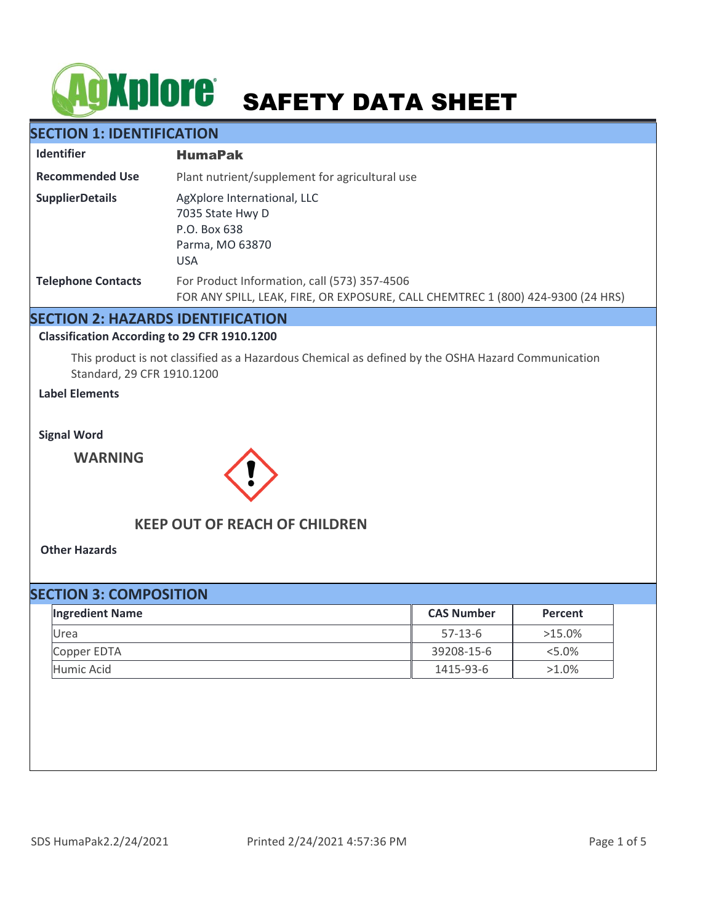# **SAFETY DATA SHEET**

## **SECTION 1: IDENTIFICATION**

| <b>Identifier</b>         | <b>HumaPak</b>                                                                                                                  |  |
|---------------------------|---------------------------------------------------------------------------------------------------------------------------------|--|
| <b>Recommended Use</b>    | Plant nutrient/supplement for agricultural use                                                                                  |  |
| <b>SupplierDetails</b>    | AgXplore International, LLC<br>7035 State Hwy D<br>P.O. Box 638<br>Parma, MO 63870<br><b>USA</b>                                |  |
| <b>Telephone Contacts</b> | For Product Information, call (573) 357-4506<br>FOR ANY SPILL, LEAK, FIRE, OR EXPOSURE, CALL CHEMTREC 1 (800) 424-9300 (24 HRS) |  |

## **SECTION 2: HAZARDS IDENTIFICATION**

#### **Classification According to 29 CFR 1910.1200**

This product is not classified as a Hazardous Chemical as defined by the OSHA Hazard Communication Standard, 29 CFR 1910.1200

## **Label Elements**

**Signal Word**

**WARNING**



## **KEEP OUT OF REACH OF CHILDREN**

**Other Hazards**

# **SECTION 3: COMPOSITION** Urea 57-13-6 >15.0% Copper EDTA 39208-15-6 <5.0% Humic Acid 1415-93-6 >1.0% **Ingredient Name CAS Number Percent**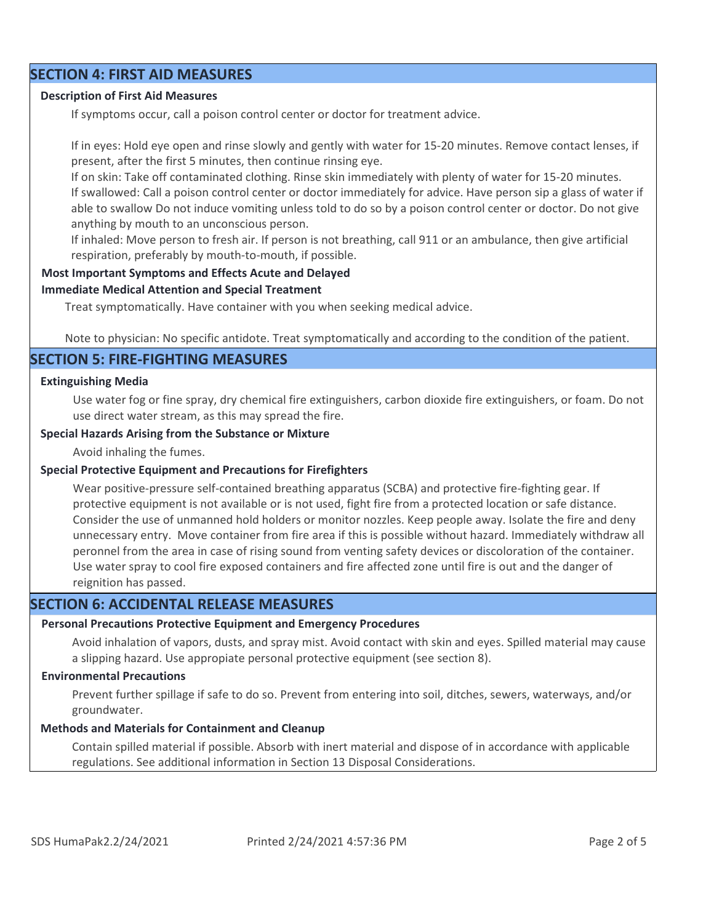## **SECTION 4: FIRST AID MEASURES**

#### **Description of First Aid Measures**

If symptoms occur, call a poison control center or doctor for treatment advice.

If in eyes: Hold eye open and rinse slowly and gently with water for 15-20 minutes. Remove contact lenses, if present, after the first 5 minutes, then continue rinsing eye.

If on skin: Take off contaminated clothing. Rinse skin immediately with plenty of water for 15-20 minutes. If swallowed: Call a poison control center or doctor immediately for advice. Have person sip a glass of water if able to swallow Do not induce vomiting unless told to do so by a poison control center or doctor. Do not give anything by mouth to an unconscious person.

If inhaled: Move person to fresh air. If person is not breathing, call 911 or an ambulance, then give artificial respiration, preferably by mouth-to-mouth, if possible.

#### **Most Important Symptoms and Effects Acute and Delayed**

#### **Immediate Medical Attention and Special Treatment**

Treat symptomatically. Have container with you when seeking medical advice.

Note to physician: No specific antidote. Treat symptomatically and according to the condition of the patient.

#### **SECTION 5: FIRE-FIGHTING MEASURES**

#### **Extinguishing Media**

Use water fog or fine spray, dry chemical fire extinguishers, carbon dioxide fire extinguishers, or foam. Do not use direct water stream, as this may spread the fire.

#### **Special Hazards Arising from the Substance or Mixture**

Avoid inhaling the fumes.

#### **Special Protective Equipment and Precautions for Firefighters**

Wear positive-pressure self-contained breathing apparatus (SCBA) and protective fire-fighting gear. If protective equipment is not available or is not used, fight fire from a protected location or safe distance. Consider the use of unmanned hold holders or monitor nozzles. Keep people away. Isolate the fire and deny unnecessary entry. Move container from fire area if this is possible without hazard. Immediately withdraw all peronnel from the area in case of rising sound from venting safety devices or discoloration of the container. Use water spray to cool fire exposed containers and fire affected zone until fire is out and the danger of reignition has passed.

## **SECTION 6: ACCIDENTAL RELEASE MEASURES**

#### **Personal Precautions Protective Equipment and Emergency Procedures**

Avoid inhalation of vapors, dusts, and spray mist. Avoid contact with skin and eyes. Spilled material may cause a slipping hazard. Use appropiate personal protective equipment (see section 8).

#### **Environmental Precautions**

Prevent further spillage if safe to do so. Prevent from entering into soil, ditches, sewers, waterways, and/or groundwater.

#### **Methods and Materials for Containment and Cleanup**

Contain spilled material if possible. Absorb with inert material and dispose of in accordance with applicable regulations. See additional information in Section 13 Disposal Considerations.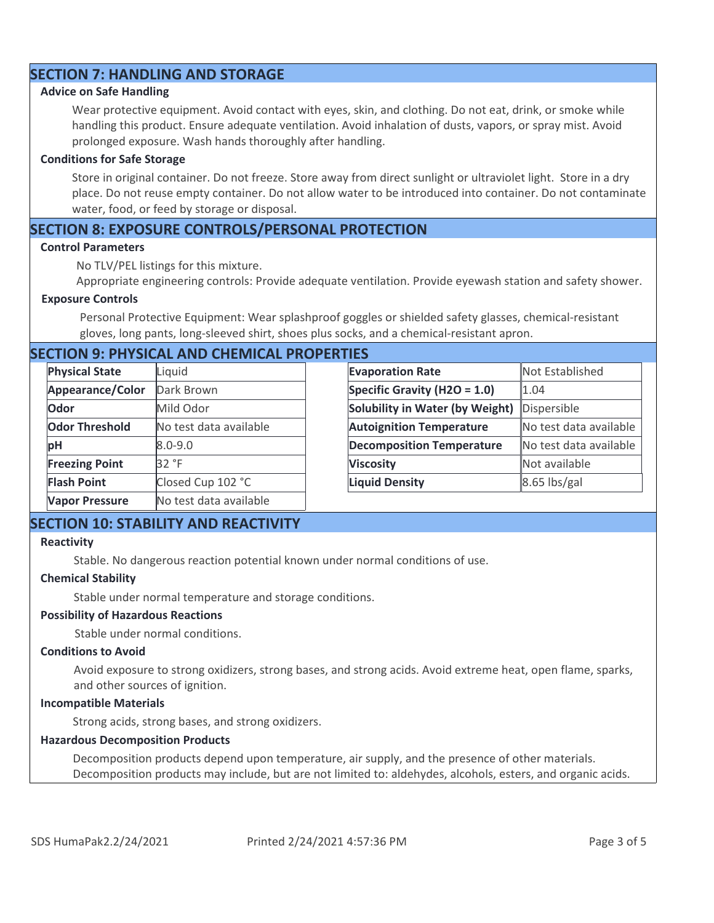## **SECTION 7: HANDLING AND STORAGE**

#### **Advice on Safe Handling**

Wear protective equipment. Avoid contact with eyes, skin, and clothing. Do not eat, drink, or smoke while handling this product. Ensure adequate ventilation. Avoid inhalation of dusts, vapors, or spray mist. Avoid prolonged exposure. Wash hands thoroughly after handling.

#### **Conditions for Safe Storage**

Store in original container. Do not freeze. Store away from direct sunlight or ultraviolet light. Store in a dry place. Do not reuse empty container. Do not allow water to be introduced into container. Do not contaminate water, food, or feed by storage or disposal.

## **SECTION 8: EXPOSURE CONTROLS/PERSONAL PROTECTION**

#### **Control Parameters**

No TLV/PEL listings for this mixture.

Appropriate engineering controls: Provide adequate ventilation. Provide eyewash station and safety shower.

#### **Exposure Controls**

Personal Protective Equipment: Wear splashproof goggles or shielded safety glasses, chemical-resistant gloves, long pants, long-sleeved shirt, shoes plus socks, and a chemical-resistant apron.

## **SECTION 9: PHYSICAL AND CHEMICAL PROPERTIES**

| <b>Physical State</b> | Liquid                 | <b>Evaporation Rate</b>          | Not Established        |
|-----------------------|------------------------|----------------------------------|------------------------|
| Appearance/Color      | Dark Brown             | Specific Gravity (H2O = 1.0)     | 1.04                   |
| Odor                  | Mild Odor              | Solubility in Water (by Weight)  | Dispersible            |
| <b>Odor Threshold</b> | No test data available | <b>Autoignition Temperature</b>  | No test data available |
| pH                    | $8.0 - 9.0$            | <b>Decomposition Temperature</b> | No test data available |
| <b>Freezing Point</b> | 32 °F                  | <b>Viscosity</b>                 | Not available          |
| <b>Flash Point</b>    | Closed Cup 102 °C      | <b>Liquid Density</b>            | $8.65$ lbs/gal         |
| <b>Vapor Pressure</b> | No test data available |                                  |                        |

## **SECTION 10: STABILITY AND REACTIVITY**

#### **Reactivity**

Stable. No dangerous reaction potential known under normal conditions of use.

#### **Chemical Stability**

Stable under normal temperature and storage conditions.

#### **Possibility of Hazardous Reactions**

Stable under normal conditions.

#### **Conditions to Avoid**

Avoid exposure to strong oxidizers, strong bases, and strong acids. Avoid extreme heat, open flame, sparks, and other sources of ignition.

#### **Incompatible Materials**

Strong acids, strong bases, and strong oxidizers.

#### **Hazardous Decomposition Products**

Decomposition products depend upon temperature, air supply, and the presence of other materials. Decomposition products may include, but are not limited to: aldehydes, alcohols, esters, and organic acids.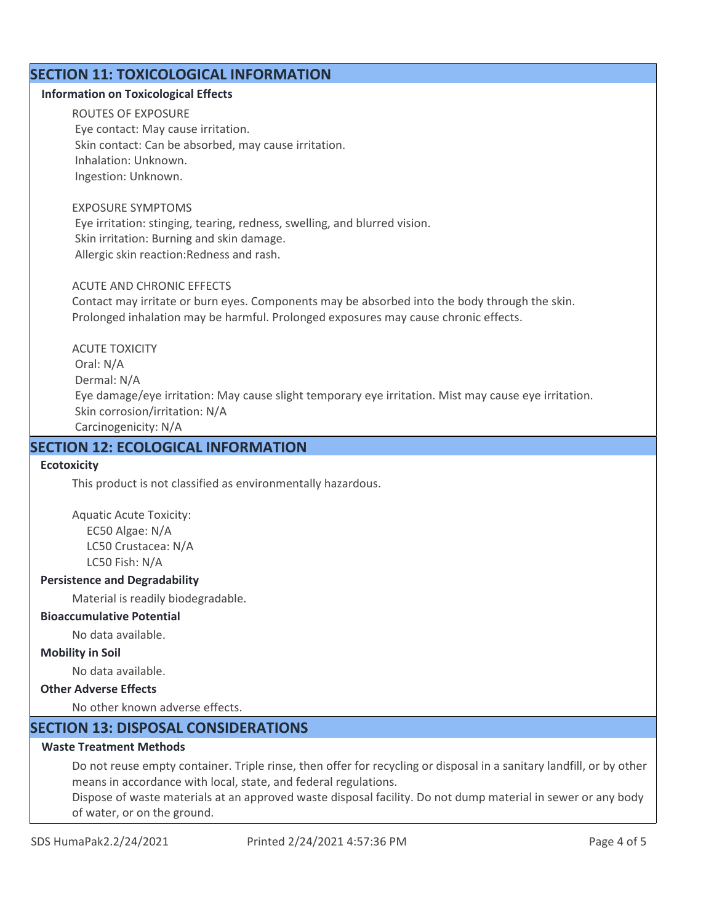## **SECTION 11: TOXICOLOGICAL INFORMATION**

#### **Information on Toxicological Effects**

ROUTES OF EXPOSURE Eye contact: May cause irritation. Skin contact: Can be absorbed, may cause irritation. Inhalation: Unknown. Ingestion: Unknown.

#### EXPOSURE SYMPTOMS

 Eye irritation: stinging, tearing, redness, swelling, and blurred vision. Skin irritation: Burning and skin damage. Allergic skin reaction:Redness and rash.

#### ACUTE AND CHRONIC EFFECTS

Contact may irritate or burn eyes. Components may be absorbed into the body through the skin. Prolonged inhalation may be harmful. Prolonged exposures may cause chronic effects.

ACUTE TOXICITY Oral: N/A Dermal: N/A Eye damage/eye irritation: May cause slight temporary eye irritation. Mist may cause eye irritation. Skin corrosion/irritation: N/A Carcinogenicity: N/A

## **SECTION 12: ECOLOGICAL INFORMATION**

#### **Ecotoxicity**

This product is not classified as environmentally hazardous.

Aquatic Acute Toxicity: EC50 Algae: N/A LC50 Crustacea: N/A LC50 Fish: N/A

#### **Persistence and Degradability**

Material is readily biodegradable.

#### **Bioaccumulative Potential**

No data available.

#### **Mobility in Soil**

No data available.

## **Other Adverse Effects**

No other known adverse effects.

## **SECTION 13: DISPOSAL CONSIDERATIONS**

## **Waste Treatment Methods**

Do not reuse empty container. Triple rinse, then offer for recycling or disposal in a sanitary landfill, or by other means in accordance with local, state, and federal regulations.

Dispose of waste materials at an approved waste disposal facility. Do not dump material in sewer or any body of water, or on the ground.